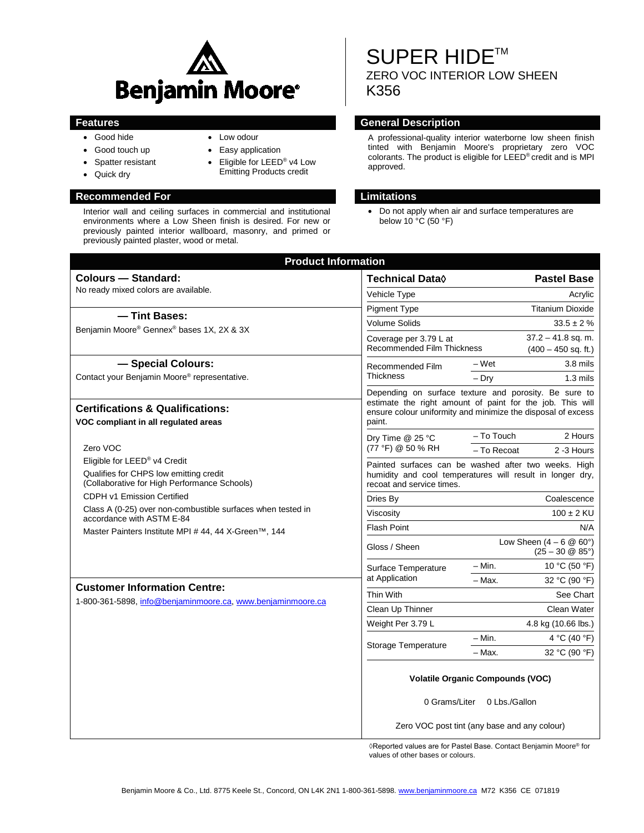

• Low odour • Easy application

• Eligible for LEED® v4 Low Emitting Products credit

- Good hide
- Good touch up
- Spatter resistant
- Quick dry

### **Recommended For Limitations**

Interior wall and ceiling surfaces in commercial and institutional environments where a Low Sheen finish is desired. For new or previously painted interior wallboard, masonry, and primed or previously painted plaster, wood or metal.

# SUPER HIDE™ ZERO VOC INTERIOR LOW SHEEN K356

### **Features General Description**

A professional-quality interior waterborne low sheen finish tinted with Benjamin Moore's proprietary zero VOC colorants. The product is eligible for LEED® credit and is MPI approved.

• Do not apply when air and surface temperatures are below 10 °C (50 °F)

| <b>Product Information</b>                                                                                                                       |                                                                                                                                                                                              |                         |                                                                |  |
|--------------------------------------------------------------------------------------------------------------------------------------------------|----------------------------------------------------------------------------------------------------------------------------------------------------------------------------------------------|-------------------------|----------------------------------------------------------------|--|
| <b>Colours - Standard:</b>                                                                                                                       | <b>Technical Data</b> ♦                                                                                                                                                                      |                         | <b>Pastel Base</b>                                             |  |
| No ready mixed colors are available.<br>- Tint Bases:<br>Benjamin Moore® Gennex® bases 1X, 2X & 3X                                               | Vehicle Type                                                                                                                                                                                 | Acrylic                 |                                                                |  |
|                                                                                                                                                  | <b>Pigment Type</b>                                                                                                                                                                          | <b>Titanium Dioxide</b> |                                                                |  |
|                                                                                                                                                  | <b>Volume Solids</b>                                                                                                                                                                         | $33.5 \pm 2 \%$         |                                                                |  |
|                                                                                                                                                  | Coverage per 3.79 L at<br><b>Recommended Film Thickness</b>                                                                                                                                  |                         | $37.2 - 41.8$ sq. m.<br>$(400 - 450$ sq. ft.)                  |  |
| - Special Colours:<br><b>Thickness</b><br>Contact your Benjamin Moore® representative.                                                           | Recommended Film                                                                                                                                                                             | – Wet                   | 3.8 mils                                                       |  |
|                                                                                                                                                  |                                                                                                                                                                                              | $-$ Dry                 | $1.3 \text{ miles}$                                            |  |
|                                                                                                                                                  | Depending on surface texture and porosity. Be sure to<br>estimate the right amount of paint for the job. This will<br>ensure colour uniformity and minimize the disposal of excess<br>paint. |                         |                                                                |  |
| <b>Certifications &amp; Qualifications:</b><br>VOC compliant in all regulated areas                                                              |                                                                                                                                                                                              |                         |                                                                |  |
|                                                                                                                                                  | Dry Time @ 25 °C<br>(77 °F) @ 50 % RH                                                                                                                                                        | - To Touch              | 2 Hours                                                        |  |
| Zero VOC                                                                                                                                         |                                                                                                                                                                                              | - To Recoat             | 2 -3 Hours                                                     |  |
| Eligible for LEED <sup>®</sup> v4 Credit<br>Qualifies for CHPS low emitting credit<br>(Collaborative for High Performance Schools)               | Painted surfaces can be washed after two weeks. High<br>humidity and cool temperatures will result in longer dry,<br>recoat and service times.                                               |                         |                                                                |  |
| CDPH v1 Emission Certified                                                                                                                       | Coalescence<br>Dries By                                                                                                                                                                      |                         |                                                                |  |
| Class A (0-25) over non-combustible surfaces when tested in<br>accordance with ASTM E-84<br>Master Painters Institute MPI # 44, 44 X-Green™, 144 | Viscosity                                                                                                                                                                                    | $100 \pm 2$ KU          |                                                                |  |
|                                                                                                                                                  | <b>Flash Point</b>                                                                                                                                                                           |                         | N/A                                                            |  |
|                                                                                                                                                  | Gloss / Sheen                                                                                                                                                                                |                         | Low Sheen $(4 - 6 \& 60^{\circ})$<br>$(25 - 30 \& 85^{\circ})$ |  |
|                                                                                                                                                  | Surface Temperature<br>at Application                                                                                                                                                        | $-$ Min.                | 10 °C (50 °F)                                                  |  |
| <b>Customer Information Centre:</b>                                                                                                              |                                                                                                                                                                                              | - Max.                  | 32 °C (90 °F)                                                  |  |
| Thin With<br>1-800-361-5898, info@benjaminmoore.ca, www.benjaminmoore.ca<br>Clean Up Thinner<br>Weight Per 3.79 L                                |                                                                                                                                                                                              |                         | See Chart                                                      |  |
|                                                                                                                                                  |                                                                                                                                                                                              |                         | Clean Water                                                    |  |
|                                                                                                                                                  |                                                                                                                                                                                              |                         | 4.8 kg (10.66 lbs.)                                            |  |
|                                                                                                                                                  | Storage Temperature                                                                                                                                                                          | $- Min.$                | 4 °C (40 °F)                                                   |  |
|                                                                                                                                                  |                                                                                                                                                                                              | - Max.                  | 32 °C (90 °F)                                                  |  |
|                                                                                                                                                  | <b>Volatile Organic Compounds (VOC)</b>                                                                                                                                                      |                         |                                                                |  |
|                                                                                                                                                  | 0 Grams/Liter 0 Lbs./Gallon                                                                                                                                                                  |                         |                                                                |  |
|                                                                                                                                                  | Zero VOC post tint (any base and any colour)                                                                                                                                                 |                         |                                                                |  |

◊Reported values are for Pastel Base. Contact Benjamin Moore® for values of other bases or colours.